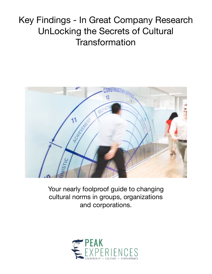# Key Findings - In Great Company Research UnLocking the Secrets of Cultural **Transformation**



Your nearly foolproof guide to changing cultural norms in groups, organizations and corporations.

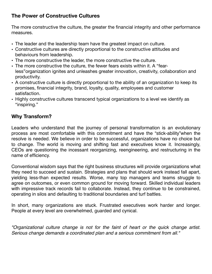# **The Power of Constructive Cultures**

The more constructive the culture, the greater the financial integrity and other performance measures.

- The leader and the leadership team have the greatest impact on culture.
- Constructive cultures are directly proportional to the constructive attitudes and behaviours from leadership.
- The more constructive the leader, the more constructive the culture.
- The more constructive the culture, the fewer fears exists within it. A "fearless"organization ignites and unleashes greater innovation, creativity, collaboration and productivity.
- A constructive culture is directly proportional to the ability of an organization to keep its promises, financial integrity, brand, loyalty, quality, employees and customer satisfaction.
- Highly constructive cultures transcend typical organizations to a level we identify as "inspiring."

# **Why Transform?**

Leaders who understand that the journey of personal transformation is an evolutionary process are most comfortable with this commitment and have the "stick-ability"when the resolve is needed. We believe in order to be successful, organizations have no choice but to change. The world is moving and shifting fast and executives know it. Increasingly, CEOs are questioning the incessant reorganizing, reengineering, and restructuring in the name of efficiency.

Conventional wisdom says that the right business structures will provide organizations what they need to succeed and sustain. Strategies and plans that should work instead fall apart, yielding less-than expected results. Worse, many top managers and teams struggle to agree on outcomes, or even common ground for moving forward. Skilled individual leaders with impressive track records fail to collaborate. Instead, they continue to be constrained, operating in silos and defaulting to traditional boundaries and turf battles.

In short, many organizations are stuck. Frustrated executives work harder and longer. People at every level are overwhelmed, guarded and cynical.

*"Organizational culture change is not for the faint of heart or the quick change artist. Serious change demands a coordinated plan and a serious commitment from all."*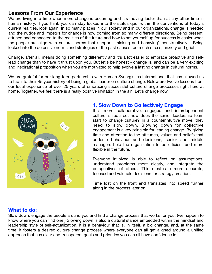# **Lessons From Our Experience**

We are living in a time when more change is occurring and it's moving faster than at any other time in human history. If you think you can stay locked into the status quo, within the conventions of today's current realities, look again. In so many places in our society and in our organizations, change is needed and the nudge and impetus for change is now coming from so many different directions. Being present, attuned and connected to the realities of the future and how to set yourself up for success is easier when the people are align with cultural norms that support "thinking and behaving" constructively. Being locked into the defensive norms and strategies of the past causes too much stress, anxiety and grief.

Change, after all, means doing something differently and it's a lot easier to embrace proactive and selflead change than to have it thrust upon you. But let's be honest - change is, and can be a very exciting and inspirational proposition when you are motivated to help evolve a lasting change in cultural norms.

We are grateful for our long-term partnership with Human Synergistics International that has allowed us to tap into their 45 year history of being a global leader on culture change. Below are twelve lessons from our local experience of over 25 years of embracing successful culture change processes right here at home. Together, we feel there is a really positive invitation in the air. Let's change now.



# **1. Slow Down to Collectively Engage**

If a more collaborative, engaged and interdependent culture is required, how does the senior leadership team start to change culture? In a counterintuitive move, they need to slow down. Slowing down for collective engagement is a key principle for leading change. By giving time and attention to the attitudes, values and beliefs that underlie behaviour and decisions, senior and middle managers help the organization to be efficient and more flexible in the future.

Everyone involved is able to reflect on assumptions, understand problems more clearly, and integrate the perspectives of others. This creates a more accurate, focused and valuable decisions for strategy creation.

Time lost on the front end translates into speed further along in the process later on.

# **What to do:**

Slow down, engage the people around you and find a change process that works for you. (we happen to know where you can find one.) Slowing down is also a cultural stance embedded within the mindset and leadership style of self-actualization. It is a behaviour that is, in itself, a big change, and, at the same time, it fosters a desired culture change process where everyone can all get aligned around a unified approach that has clear and transparent goals and priorities you can all have confidence in.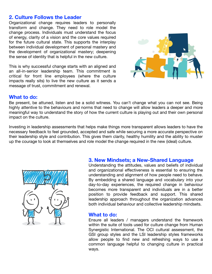# **2. Culture Follows the Leader**

Organizational change requires leaders to personally transform and change. They need to role model the change process. Individuals must understand the focus of energy, clarity of a vision and the core values required for the future cultural state. This supports the interplay between individual development of personal mastery and the development of organizational mastery; deepening the sense of identity that is helpful in the new culture.

This is why successful change starts with an aligned and an all-in-senior leadership team. This commitment is critical for front line employees (where the culture impacts really sits) to live the new culture as it sends a message of trust, commitment and renewal.



# **What to do:**

Be present, be attuned, listen and be a solid witness. You can't change what you can not see. Being highly attentive to the behaviours and norms that need to change will allow leaders a deeper and more meaningful way to understand the story of how the current culture is playing out and their own personal impact on the culture.

Investing in leadership assessments that helps make things more transparent allows leaders to have the necessary feedback to feel grounded, accepted and safe while securing a more accurate perspective on their leadership style and contribution. This gives them clarity, healthy humility and the ability to muster up the courage to look at themselves and role model the change required in the new (ideal) culture.



## **3. New Mindsets; a New-Shared Language**

Understanding the attitudes, values and beliefs of individual and organizational effectiveness is essential to ensuring the understanding and alignment of how people need to behave. By embedding a shared language and vocabulary into your day-to-day experiences, the required change in behaviour becomes more transparent and individuals are in a better position to provide feedback and support. This shared leadership approach throughout the organization advances both individual behaviour and collective leadership mindsets.

#### **What to do:**

Ensure all leaders / managers understand the framework within the suite of tools used for culture change from Human Synergistic International. The OCI cultural assessment, the GSI group styles and the LSI leadership styles frameworks allow people to find new and refreshing ways to use a common language helpful to changing culture in practical ways.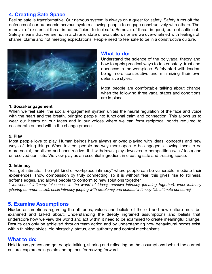# **4. Creating Safe Space**

Feeling safe is transformative. Our nervous system is always on a quest for safety. Safety turns off the defences of our autonomic nervous system allowing people to engage constructively with others. The removal of existential threat is not sufficient to feel safe. Removal of threat is good, but not sufficient. Safety means that we are not in a chronic state of evaluation, nor are we overwhelmed with feelings of shame, blame and not meeting expectations. People need to feel safe to be in a constructive culture.



#### **What to do:**

Understand the science of the polyvagal theory and how to apply practical ways to foster safety, trust and openness in the workplace. Safety start with leaders being more constructive and minimizing their own defensive styles.

Most people are comfortable talking about change when the following three vagal states and conditions are in place:

#### **1. Social-Engagement**

When we feel safe, the social engagement system unites the neural regulation of the face and voice with the heart and the breath, bringing people into functional calm and connection. This allows us to wear our hearts on our faces and in our voices where we can form reciprocal bonds required to collaborate on and within the change process.

#### **2. Play**

Most people love to play. Human beings have always enjoyed playing with ideas, concepts and new ways of doing things. When invited, people are way more open to be engaged, allowing them to be more social, mobilized and constructive. If it withdraws, play devolves to competition (win / lose) and unresolved conflicts. We view play as an essential ingredient in creating safe and trusting space.

#### **3. Intimacy**

Yes, get intimate. The right kind of workplace intimacy\* where people can be vulnerable, mediate their experiences, show compassion by truly connecting, so it is without fear: this gives rise to stillness, softens edges, and allows people to conform to new solutions together.

\* *intellectual intimacy (closeness in the world of ideas), creative intimacy (creating together), work intimacy (sharing common tasks), crisis intimacy (coping with problems) and spiritual intimacy (life ultimate concerns)* 

## **5. Examine Assumptions**

Hidden assumptions regarding the attitudes, values and beliefs of the old and new culture must be examined and talked about. Understanding the deeply ingrained assumptions and beliefs that underscore how we view the world and act within it need to be examined to create meaningful change. Results can only be achieved through team action and by understanding how behavioural norms exist within thinking styles, old hierarchy, status, and authority and control mechanisms.

## **What to do:**

Hold focus groups and get people talking, sharing and reflecting on the assumptions behind the current culture, explore pain points and options for moving forward.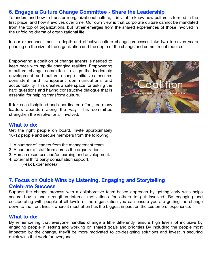# **6. Engage a Culture Change Committee - Share the Leadership**

To understand how to transform organizational culture, it is vital to know how culture is formed in the first place, and how it evolves over time. Our own view is that corporate culture cannot be mandated from the top of organizations, but rather emerges from the shared experiences of those involved in the unfolding drama of organizational life.

In our experience, most in-depth and effective culture change processes take two to seven years pending on the size of the organization and the depth of the change and commitment required.

Empowering a coalition of change agents is needed to keep pace with rapidly changing realities. Empowering a culture change committee to align the leadership development and culture change initiatives ensures consistent and transparent communications and accountability. This creates a safe space for asking the hard questions and having constructive dialogue that is essential for helping transform culture.

It takes a disciplined and coordinated effort, too many leaders abandon along the way. This committee strengthen the resolve for all involved.

## **What to do:**

Get the right people on board. Invite approximately 10-12 people and secure members from the following:

- 1. A number of leaders from the management team.
- 2. A number of staff from across the organization.
- 3. Human resources and/or learning and development.
- 4. External third party consultation support.
	- (Peak Experiences)

# **7. Focus on Quick Wins by Listening, Engaging and Storytelling Celebrate Success**

Support the change process with a collaborative team-based approach by getting early wins helps secure buy-in and strengthen internal motivations for others to get involved. By engaging and collaborating with people at all levels of the organization you can ensure you are getting the change down to the front lines - where it most often has the biggest impact on the customers' experience.

## **What to do:**

By remembering that everyone handles change a little differently, ensure high levels of inclusive by engaging people in setting and working on shared goals and priorities By including the people most impacted by the change, they'll be more motivated to co-designing solutions and invest in securing quick wins that work for everyone.

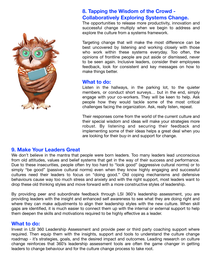

# **8. Tapping the Wisdom of the Crowd - Collaboratively Exploring Systems Change.**

The opportunities to release more productivity, innovation and successful change multiply when we begin to address and explore the culture from a systems framework.

Targeting change that will make the most difference can be best uncovered by listening and working closely with those who work within these systems everyday. Too often, the opinions of frontline people are put aside or dismissed, never to be seen again. Inclusive leaders, consider their employees feedback, look for consistent and key messages on how to make things better.

## **What to do:**

Listen in the hallways, in the parking lot, to the quieter members, or conduct short surveys… but in the end, simply engage with your co-workers. They will be keen to help. Ask people how they would tackle some of the most critical challenges facing the organization. Ask, really listen, repeat.

Their responses come from the world of the current culture and their special wisdom and ideas will make your strategies more robust. By listening and securing their feedback and implementing some of their ideas helps a great deal when you are looking for their buy-in and support for change.

# **9. Make Your Leaders Great**

We don't believe in the mantra that people were born leaders. Too many leaders lead unconscious from old attitudes, values and belief systems that get in the way of their success and performance. Due to these insecurities, people often try too hard to "look good" (aggressive cultural norms) or to simply "be good" (passive cultural norms) even when they know highly engaging and successful cultures need their leaders to focus on "doing good." Old coping mechanisms and defensive behaviours cause way too much stress and anxiety and with the right support, most leaders want to drop these old thinking styles and move forward with a more constructive styles of leadership.

By providing peer and subordinate feedback through LSI 360's leadership assessment, you are providing leaders with the insight and enhanced self awareness to see what they are doing right and where they can make adjustments to align their leadership styles with the new culture. When skill gaps are identified, it is much easier to connect them up with the internal or external support to help them deepen the skills and motivations required to be highly effective as a leader.

## **What to do:**

Invest in LSI 360 Leadership Assessment and provide peer or third party coaching support where required. Then equip them with the insights, support and tools to understand the culture change roadmap - it's strategies, goals, and the desired impact and outcomes. Leading research on culture change reinforces that 360's leadership assessment tools are often the game changer in getting leaders to change behaviour and for the culture change process to take root.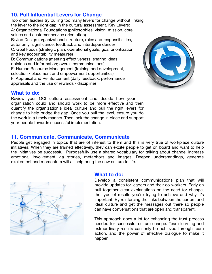# **10. Pull Influential Levers for Change**

Too often leaders try pulling too many levers for change without linking the lever to the right gap in the cultural assessment. Key Levers: A: Organizational Foundations (philosophies, vision, mission, core values and customer service orientation) B: Job Design (organizational structure, roles and responsibilities, autonomy, significance, feedback and interdependence) C: Goal Focus (strategic plan, operational goals, goal prioritization and key accountability measures) D: Communications (meeting effectiveness, sharing ideas, opinions and information; overall communications) E: Human Resource Management (training and development, selection / placement and empowerment opportunities) F: Appraisal and Reinforcement (daily feedback, performance appraisals and the use of rewards / discipline)



# **What to do:**

Review your OCI culture assessment and decide how your organization could and should work to be more effective and then quantify the organization's ideal culture and pull the right levers for change to help bridge the gap. Once you pull the level, ensure you do the work in a timely manner. Then lock the change in place and support your people towards successful implementation.

# **11. Communicate, Communicate, Communicate**

People get engaged in topics that are of interest to them and this is very true of workplace culture initiatives. When they are framed effectively, they can excite people to get on board and want to help the initiatives be successful. Purposefully use a shared vocabulary for talking about change, increase emotional involvement via stories, metaphors and images. Deepen understandings, generate excitement and momentum will all help bring the new culture to life.



## **What to do:**

Develop a consistent communications plan that will provide updates for leaders and their co-workers. Early on pull together clear explanations on the need for change, the type of results you're trying to achieve and why it's important. By reinforcing the links between the current and ideal culture and get the messages out there so people can have conversations that are open and transparent.

This approach does a lot for enhancing the trust process needed for successful culture change. Team learning and extraordinary results can only be achieved through team action, and the power of effective dialogue to make it happen.